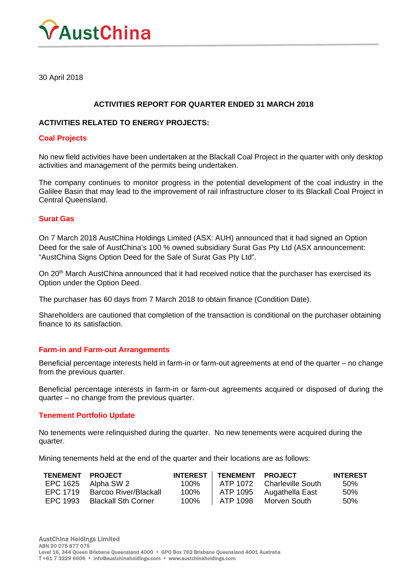

30 April 2018

# **ACTIVITIES REPORT FOR QUARTER ENDED 31 MARCH 2018**

#### **ACTIVITIES RELATED TO ENERGY PROJECTS:**

#### **Coal Projects**

No new field activities have been undertaken at the Blackall Coal Project in the quarter with only desktop activities and management of the permits being undertaken.

The company continues to monitor progress in the potential development of the coal industry in the Galilee Basin that may lead to the improvement of rail infrastructure closer to its Blackall Coal Project in Central Queensland.

## **Surat Gas**

On 7 March 2018 AustChina Holdings Limited (ASX: AUH) announced that it had signed an Option Deed for the sale of AustChina's 100 % owned subsidiary Surat Gas Pty Ltd (ASX announcement: "AustChina Signs Option Deed for the Sale of Surat Gas Pty Ltd".

On 20<sup>th</sup> March AustChina announced that it had received notice that the purchaser has exercised its Option under the Option Deed.

The purchaser has 60 days from 7 March 2018 to obtain finance (Condition Date).

Shareholders are cautioned that completion of the transaction is conditional on the purchaser obtaining finance to its satisfaction.

## **Farm-in and Farm-out Arrangements**

Beneficial percentage interests held in farm-in or farm-out agreements at end of the quarter – no change from the previous quarter.

Beneficial percentage interests in farm-in or farm-out agreements acquired or disposed of during the quarter – no change from the previous quarter.

#### **Tenement Portfolio Update**

No tenements were relinquished during the quarter. No new tenements were acquired during the quarter.

Mining tenements held at the end of the quarter and their locations are as follows:

| <b>TENEMENT</b> | <b>PROJECT</b>             |      | <b>INTEREST   TENEMENT</b> | <b>PROJECT</b>             | <b>INTEREST</b> |
|-----------------|----------------------------|------|----------------------------|----------------------------|-----------------|
|                 | EPC 1625 Alpha SW 2        | 100% |                            | ATP 1072 Charleville South | 50%             |
| FPC 1719        | Barcoo River/Blackall      | 100% | ATP 1095                   | Augathella East            | 50%             |
| EPC 1993        | <b>Blackall Sth Corner</b> | 100% | ATP 1098                   | Morven South               | .50%            |